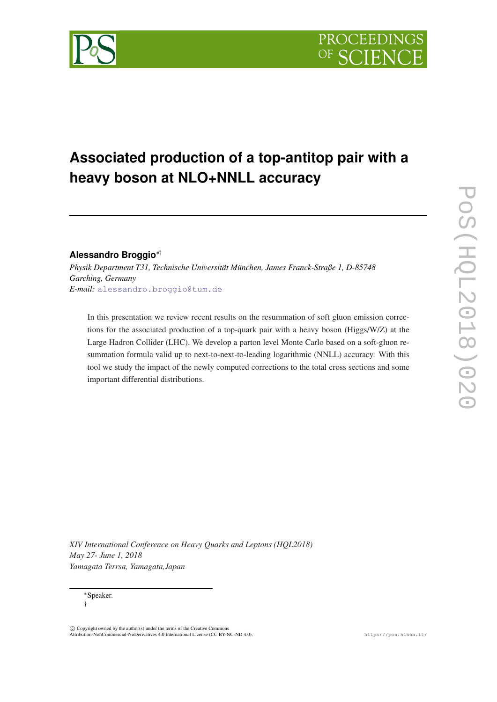# **Associated production of a top-antitop pair with a heavy boson at NLO+NNLL accuracy**

## **Alessandro Broggio**∗†

*Physik Department T31, Technische Universität München, James Franck-Straße 1, D-85748 Garching, Germany E-mail:* [alessandro.broggio@tum.de](mailto:alessandro.broggio@tum.de)

In this presentation we review recent results on the resummation of soft gluon emission corrections for the associated production of a top-quark pair with a heavy boson (Higgs/W/Z) at the Large Hadron Collider (LHC). We develop a parton level Monte Carlo based on a soft-gluon resummation formula valid up to next-to-next-to-leading logarithmic (NNLL) accuracy. With this tool we study the impact of the newly computed corrections to the total cross sections and some important differential distributions.

*XIV International Conference on Heavy Quarks and Leptons (HQL2018) May 27- June 1, 2018 Yamagata Terrsa, Yamagata,Japan*



<sup>∗</sup>Speaker. †

 $\overline{c}$  Copyright owned by the author(s) under the terms of the Creative Common Attribution-NonCommercial-NoDerivatives 4.0 International License (CC BY-NC-ND 4.0). https://pos.sissa.it/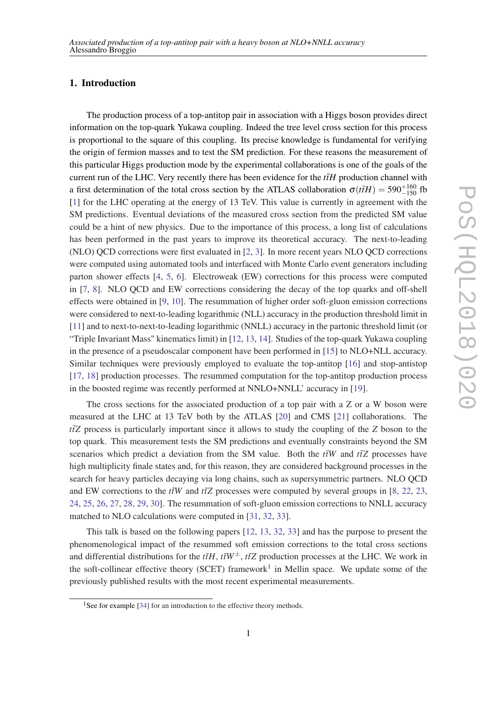## 1. Introduction

The production process of a top-antitop pair in association with a Higgs boson provides direct information on the top-quark Yukawa coupling. Indeed the tree level cross section for this process is proportional to the square of this coupling. Its precise knowledge is fundamental for verifying the origin of fermion masses and to test the SM prediction. For these reasons the measurement of this particular Higgs production mode by the experimental collaborations is one of the goals of the current run of the LHC. Very recently there has been evidence for the  $t\bar{t}H$  production channel with a first determination of the total cross section by the ATLAS collaboration  $\sigma(t\bar{t}H) = 590^{+160}_{-150}$  fb [[1](#page-5-0)] for the LHC operating at the energy of 13 TeV. This value is currently in agreement with the SM predictions. Eventual deviations of the measured cross section from the predicted SM value could be a hint of new physics. Due to the importance of this process, a long list of calculations has been performed in the past years to improve its theoretical accuracy. The next-to-leading (NLO) QCD corrections were first evaluated in [[2](#page-5-0), [3](#page-5-0)]. In more recent years NLO QCD corrections were computed using automated tools and interfaced with Monte Carlo event generators including parton shower effects [\[4,](#page-6-0) [5,](#page-6-0) [6](#page-6-0)]. Electroweak (EW) corrections for this process were computed in [\[7,](#page-6-0) [8\]](#page-7-0). NLO QCD and EW corrections considering the decay of the top quarks and off-shell effects were obtained in [\[9,](#page-7-0) [10](#page-7-0)]. The resummation of higher order soft-gluon emission corrections were considered to next-to-leading logarithmic (NLL) accuracy in the production threshold limit in [[11\]](#page-7-0) and to next-to-next-to-leading logarithmic (NNLL) accuracy in the partonic threshold limit (or "Triple Invariant Mass" kinematics limit) in [\[12,](#page-8-0) [13,](#page-8-0) [14\]](#page-8-0). Studies of the top-quark Yukawa coupling in the presence of a pseudoscalar component have been performed in [\[15](#page-8-0)] to NLO+NLL accuracy. Similar techniques were previously employed to evaluate the top-antitop [\[16](#page-8-0)] and stop-antistop [[17,](#page-8-0) [18\]](#page-8-0) production processes. The resummed computation for the top-antitop production process in the boosted regime was recently performed at NNLO+NNLL' accuracy in [\[19](#page-8-0)].

The cross sections for the associated production of a top pair with a Z or a W boson were measured at the LHC at 13 TeV both by the ATLAS [[20\]](#page-8-0) and CMS [[21\]](#page-8-0) collaborations. The *ttZ* process is particularly important since it allows to study the coupling of the *Z* boson to the top quark. This measurement tests the SM predictions and eventually constraints beyond the SM scenarios which predict a deviation from the SM value. Both the  $t\bar{t}W$  and  $t\bar{t}Z$  processes have high multiplicity finale states and, for this reason, they are considered background processes in the search for heavy particles decaying via long chains, such as supersymmetric partners. NLO QCD and EW corrections to the  $t\bar{t}W$  and  $t\bar{t}Z$  processes were computed by several groups in [\[8,](#page-7-0) [22](#page-9-0), [23](#page-9-0), [24](#page-9-0), [25](#page-9-0), [26,](#page-9-0) [27,](#page-9-0) [28,](#page-9-0) [29,](#page-9-0) [30](#page-9-0)]. The resummation of soft-gluon emission corrections to NNLL accuracy matched to NLO calculations were computed in [[31,](#page-9-0) [32](#page-9-0), [33](#page-9-0)].

This talk is based on the following papers [\[12](#page-8-0), [13](#page-8-0), [32,](#page-9-0) [33](#page-9-0)] and has the purpose to present the phenomenological impact of the resummed soft emission corrections to the total cross sections and differential distributions for the  $t\bar{t}H$ ,  $t\bar{t}W^{\pm}$ ,  $t\bar{t}Z$  production processes at the LHC. We work in the soft-collinear effective theory (SCET) framework<sup>1</sup> in Mellin space. We update some of the previously published results with the most recent experimental measurements.

<sup>&</sup>lt;sup>1</sup>See for example [\[34\]](#page-9-0) for an introduction to the effective theory methods.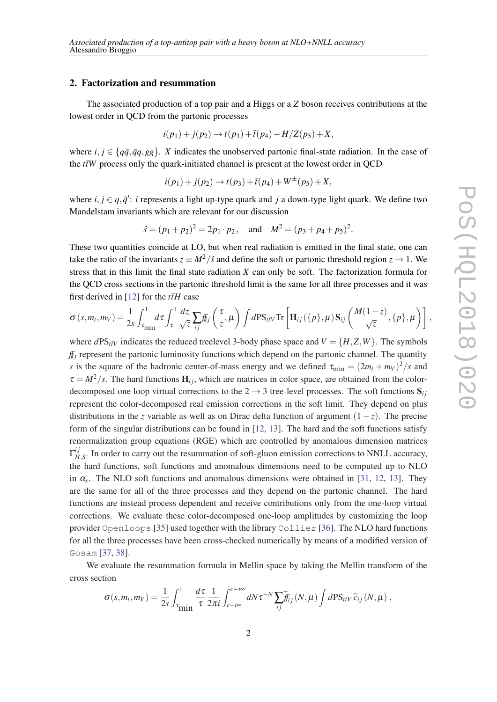#### 2. Factorization and resummation

The associated production of a top pair and a Higgs or a *Z* boson receives contributions at the lowest order in QCD from the partonic processes

$$
i(p_1) + j(p_2) \to t(p_3) + \bar{t}(p_4) + H/Z(p_5) + X,
$$

where *i*,  $j \in \{q\bar{q}, \bar{q}q, eg\}$ . *X* indicates the unobserved partonic final-state radiation. In the case of the  $t\bar{t}W$  process only the quark-initiated channel is present at the lowest order in OCD

$$
i(p_1) + j(p_2) \to t(p_3) + \bar{t}(p_4) + W^{\pm}(p_5) + X,
$$

where  $i, j \in q, \bar{q}'$ : *i* represents a light up-type quark and *j* a down-type light quark. We define two Mandelstam invariants which are relevant for our discussion

$$
\hat{s} = (p_1 + p_2)^2 = 2p_1 \cdot p_2
$$
, and  $M^2 = (p_3 + p_4 + p_5)^2$ .

These two quantities coincide at LO, but when real radiation is emitted in the final state, one can take the ratio of the invariants  $z \equiv M^2/\hat{s}$  and define the soft or partonic threshold region  $z \to 1$ . We stress that in this limit the final state radiation *X* can only be soft. The factorization formula for the QCD cross sections in the partonic threshold limit is the same for all three processes and it was first derived in [[12\]](#page-8-0) for the  $t\bar{t}H$  case

$$
\sigma(s,m_t,m_V) = \frac{1}{2s} \int_{\tau_{\text{min}}}^1 d\tau \int_{\tau}^1 \frac{dz}{\sqrt{z}} \sum_{ij} f_{ij} \left( \frac{\tau}{z}, \mu \right) \int d\text{PS}_{t\bar{t}V} \text{Tr} \left[ \mathbf{H}_{ij}(\{p\}, \mu) \mathbf{S}_{ij} \left( \frac{M(1-z)}{\sqrt{z}}, \{p\}, \mu \right) \right],
$$

where  $dPS_{t\bar{t}V}$  indicates the reduced treelevel 3-body phase space and  $V = \{H, Z, W\}$ . The symbols  $f_{ij}$  represent the partonic luminosity functions which depend on the partonic channel. The quantity *s* is the square of the hadronic center-of-mass energy and we defined  $\tau_{\text{min}} = (2m_t + m_V)^2/s$  and  $\tau = M^2/s$ . The hard functions  $H_{ij}$ , which are matrices in color space, are obtained from the colordecomposed one loop virtual corrections to the  $2 \rightarrow 3$  tree-level processes. The soft functions  $S_{ij}$ represent the color-decomposed real emission corrections in the soft limit. They depend on plus distributions in the *z* variable as well as on Dirac delta function of argument  $(1-z)$ . The precise form of the singular distributions can be found in [[12,](#page-8-0) [13](#page-8-0)]. The hard and the soft functions satisfy renormalization group equations (RGE) which are controlled by anomalous dimension matrices Γ *i j*  $H_{H,S}^{ij}$ . In order to carry out the resummation of soft-gluon emission corrections to NNLL accuracy, the hard functions, soft functions and anomalous dimensions need to be computed up to NLO in  $\alpha_s$ . The NLO soft functions and anomalous dimensions were obtained in [[31](#page-9-0), [12,](#page-8-0) [13](#page-8-0)]. They are the same for all of the three processes and they depend on the partonic channel. The hard functions are instead process dependent and receive contributions only from the one-loop virtual corrections. We evaluate these color-decomposed one-loop amplitudes by customizing the loop provider Openloops [\[35](#page-9-0)] used together with the library Collier [\[36](#page-9-0)]. The NLO hard functions for all the three processes have been cross-checked numerically by means of a modified version of Gosam [\[37](#page-9-0), [38\]](#page-9-0).

We evaluate the resummation formula in Mellin space by taking the Mellin transform of the cross section

$$
\sigma(s,m_t,m_V) = \frac{1}{2s} \int_{\tau_{\text{min}}}^1 \frac{d\tau}{\tau} \frac{1}{2\pi i} \int_{c-i\infty}^{c+i\infty} dN \tau^{-N} \sum_{ij} \widetilde{f}_{ij}(N,\mu) \int d\text{PS}_{t\bar{t}V} \widetilde{c}_{ij}(N,\mu) ,
$$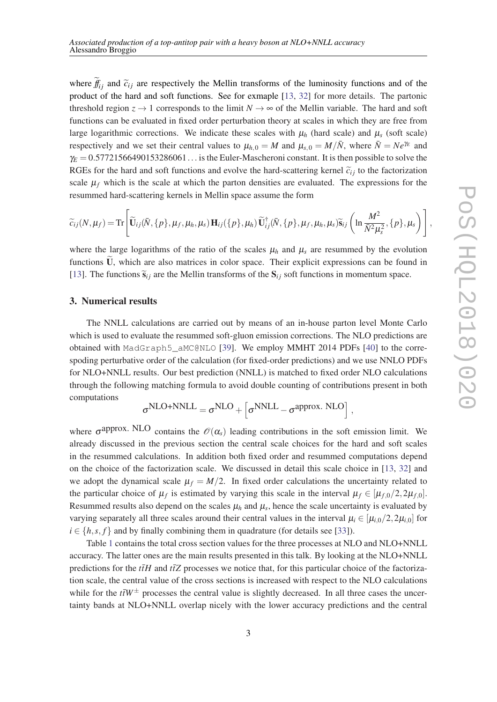where  $f_{ij}$  and  $\tilde{c}_{ij}$  are respectively the Mellin transforms of the luminosity functions and of the nonproduct of the hard and soft functions. See for exmaple [[13,](#page-8-0) [32](#page-9-0)] for more details. The partonic threshold region  $z \to 1$  corresponds to the limit  $N \to \infty$  of the Mellin variable. The hard and soft functions can be evaluated in fixed order perturbation theory at scales in which they are free from large logarithmic corrections. We indicate these scales with  $\mu_h$  (hard scale) and  $\mu_s$  (soft scale) respectively and we set their central values to  $\mu_{h,0} = M$  and  $\mu_{s,0} = M/\bar{N}$ , where  $\bar{N} = Ne^{\gamma_E}$  and  $\gamma_E = 0.57721566490153286061...$  is the Euler-Mascheroni constant. It is then possible to solve the RGEs for the hard and soft functions and evolve the hard-scattering kernel  $\tilde{c}_{ij}$  to the factorization scale  $\mu_f$  which is the scale at which the parton densities are evaluated. The expressions for the resummed hard-scattering kernels in Mellin space assume the form

$$
\widetilde{c}_{ij}(N,\mu_f) = \text{Tr}\Bigg[\widetilde{\mathbf{U}}_{ij}(\bar{N},\{p\},\mu_f,\mu_h,\mu_s)\mathbf{H}_{ij}(\{p\},\mu_h)\widetilde{\mathbf{U}}^{\dagger}_{ij}(\bar{N},\{p\},\mu_f,\mu_h,\mu_s)\widetilde{\mathbf{s}}_{ij}\left(\ln\frac{M^2}{\bar{N}^2\mu_s^2},\{p\},\mu_s\right)\Bigg],
$$

where the large logarithms of the ratio of the scales  $\mu_h$  and  $\mu_s$  are resummed by the evolution functions  $\dot{U}$ , which are also matrices in color space. Their explicit expressions can be found in [[13\]](#page-8-0). The functions  $\tilde{\mathbf{s}}_{ij}$  are the Mellin transforms of the  $\mathbf{S}_{ij}$  soft functions in momentum space.

#### 3. Numerical results

The NNLL calculations are carried out by means of an in-house parton level Monte Carlo which is used to evaluate the resummed soft-gluon emission corrections. The NLO predictions are obtained with MadGraph5\_aMC@NLO [\[39](#page-9-0)]. We employ MMHT 2014 PDFs [[40](#page-9-0)] to the correspoding perturbative order of the calculation (for fixed-order predictions) and we use NNLO PDFs for NLO+NNLL results. Our best prediction (NNLL) is matched to fixed order NLO calculations through the following matching formula to avoid double counting of contributions present in both computations

$$
\sigma^{NLO+NNLL}=\sigma^{NLO}+\left[\sigma^{NNLL}-\sigma^{approx.~NLO}\right],
$$

where  $\sigma^{approx. NLO}$  contains the  $\mathcal{O}(\alpha_s)$  leading contributions in the soft emission limit. We already discussed in the previous section the central scale choices for the hard and soft scales in the resummed calculations. In addition both fixed order and resummed computations depend on the choice of the factorization scale. We discussed in detail this scale choice in [[13,](#page-8-0) [32\]](#page-9-0) and we adopt the dynamical scale  $\mu_f = M/2$ . In fixed order calculations the uncertainty related to the particular choice of  $\mu_f$  is estimated by varying this scale in the interval  $\mu_f \in [\mu_{f,0}/2, 2\mu_{f,0}]$ . Resummed results also depend on the scales  $\mu_h$  and  $\mu_s$ , hence the scale uncertainty is evaluated by varying separately all three scales around their central values in the interval  $\mu_i \in [\mu_{i,0}/2,2\mu_{i,0}]$  for  $i \in \{h, s, f\}$  and by finally combining them in quadrature (for details see [\[33](#page-9-0)]).

Table [1](#page-4-0) contains the total cross section values for the three processes at NLO and NLO+NNLL accuracy. The latter ones are the main results presented in this talk. By looking at the NLO+NNLL predictions for the  $t\bar{t}H$  and  $t\bar{t}Z$  processes we notice that, for this particular choice of the factorization scale, the central value of the cross sections is increased with respect to the NLO calculations while for the  $t\bar{t}W^{\pm}$  processes the central value is slightly decreased. In all three cases the uncertainty bands at NLO+NNLL overlap nicely with the lower accuracy predictions and the central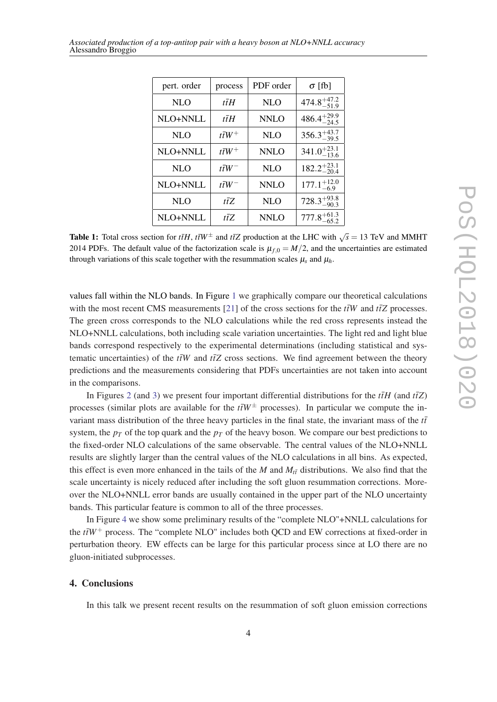<span id="page-4-0"></span>

| Associated production of a top-antitop pair with a heavy boson at NLO+NNLL accuracy |  |  |
|-------------------------------------------------------------------------------------|--|--|
| Alessandro Broggio                                                                  |  |  |

| pert. order | process            | PDF order   | $\sigma$ [fb]           |
|-------------|--------------------|-------------|-------------------------|
| <b>NLO</b>  | tīH                | <b>NLO</b>  | $474.8^{+47.2}_{-51.9}$ |
| NLO+NNLL    | tīH                | <b>NNLO</b> | $486.4^{+29.9}_{-24.5}$ |
| <b>NLO</b>  | $t\bar{t}W^+$      | <b>NLO</b>  | $356.3^{+43.7}_{-39.5}$ |
| NLO+NNLL    | tī $W^+$           | <b>NNLO</b> | $341.0^{+23.1}_{-13.6}$ |
| <b>NLO</b>  | $t\bar{t}W^-$      | <b>NLO</b>  | $182.2_{-20.4}^{+23.1}$ |
| NLO+NNLL    | $t\overline{t}W^-$ | <b>NNLO</b> | $177.1^{+12.0}_{-6.9}$  |
| <b>NLO</b>  | $t\overline{t}Z$   | <b>NLO</b>  | $728.3^{+93.8}_{-90.3}$ |
| NLO+NNLL    | tīZ                | <b>NNLO</b> | $777.8^{+61.3}_{-65.2}$ |

Table 1: Total cross section for  $t\bar{t}H$ ,  $t\bar{t}W^{\pm}$  and  $t\bar{t}Z$  production at the LHC with  $\sqrt{s} = 13$  TeV and MMHT 2014 PDFs. The default value of the factorization scale is  $\mu_{f,0} = M/2$ , and the uncertainties are estimated through variations of this scale together with the resummation scales  $\mu_s$  and  $\mu_h$ .

values fall within the NLO bands. In Figure [1](#page-5-0) we graphically compare our theoretical calculations with the most recent CMS measurements [[21\]](#page-8-0) of the cross sections for the  $t\bar{t}W$  and  $t\bar{t}Z$  processes. The green cross corresponds to the NLO calculations while the red cross represents instead the NLO+NNLL calculations, both including scale variation uncertainties. The light red and light blue bands correspond respectively to the experimental determinations (including statistical and systematic uncertainties) of the  $t\bar{t}W$  and  $t\bar{t}Z$  cross sections. We find agreement between the theory predictions and the measurements considering that PDFs uncertainties are not taken into account in the comparisons.

In Figures [2](#page-6-0) (and [3](#page-7-0)) we present four important differential distributions for the  $t\bar{t}H$  (and  $t\bar{t}Z$ ) processes (similar plots are available for the  $t\bar{t}W^{\pm}$  processes). In particular we compute the invariant mass distribution of the three heavy particles in the final state, the invariant mass of the  $t\bar{t}$ system, the  $p_T$  of the top quark and the  $p_T$  of the heavy boson. We compare our best predictions to the fixed-order NLO calculations of the same observable. The central values of the NLO+NNLL results are slightly larger than the central values of the NLO calculations in all bins. As expected, this effect is even more enhanced in the tails of the *M* and  $M<sub>t</sub>$ <sup> $\bar{t}$ </sup> distributions. We also find that the scale uncertainty is nicely reduced after including the soft gluon resummation corrections. Moreover the NLO+NNLL error bands are usually contained in the upper part of the NLO uncertainty bands. This particular feature is common to all of the three processes.

In Figure [4](#page-8-0) we show some preliminary results of the "complete NLO"+NNLL calculations for the  $t\bar{t}W^+$  process. The "complete NLO" includes both QCD and EW corrections at fixed-order in perturbation theory. EW effects can be large for this particular process since at LO there are no gluon-initiated subprocesses.

#### 4. Conclusions

In this talk we present recent results on the resummation of soft gluon emission corrections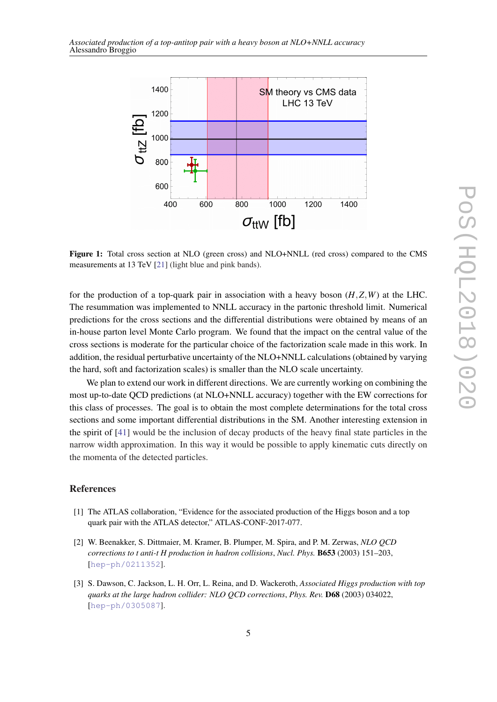<span id="page-5-0"></span>

Figure 1: Total cross section at NLO (green cross) and NLO+NNLL (red cross) compared to the CMS measurements at 13 TeV [[21\]](#page-8-0) (light blue and pink bands).

for the production of a top-quark pair in association with a heavy boson  $(H, Z, W)$  at the LHC. The resummation was implemented to NNLL accuracy in the partonic threshold limit. Numerical predictions for the cross sections and the differential distributions were obtained by means of an in-house parton level Monte Carlo program. We found that the impact on the central value of the cross sections is moderate for the particular choice of the factorization scale made in this work. In addition, the residual perturbative uncertainty of the NLO+NNLL calculations (obtained by varying the hard, soft and factorization scales) is smaller than the NLO scale uncertainty.

We plan to extend our work in different directions. We are currently working on combining the most up-to-date QCD predictions (at NLO+NNLL accuracy) together with the EW corrections for this class of processes. The goal is to obtain the most complete determinations for the total cross sections and some important differential distributions in the SM. Another interesting extension in the spirit of [\[41](#page-9-0)] would be the inclusion of decay products of the heavy final state particles in the narrow width approximation. In this way it would be possible to apply kinematic cuts directly on the momenta of the detected particles.

### References

- [1] The ATLAS collaboration, "Evidence for the associated production of the Higgs boson and a top quark pair with the ATLAS detector," ATLAS-CONF-2017-077.
- [2] W. Beenakker, S. Dittmaier, M. Kramer, B. Plumper, M. Spira, and P. M. Zerwas, *NLO QCD corrections to t anti-t H production in hadron collisions*, *Nucl. Phys.* B653 (2003) 151–203, [[hep-ph/0211352](http://arxiv.org/abs/hep-ph/0211352)].
- [3] S. Dawson, C. Jackson, L. H. Orr, L. Reina, and D. Wackeroth, *Associated Higgs production with top quarks at the large hadron collider: NLO QCD corrections*, *Phys. Rev.* D68 (2003) 034022, [[hep-ph/0305087](http://arxiv.org/abs/hep-ph/0305087)].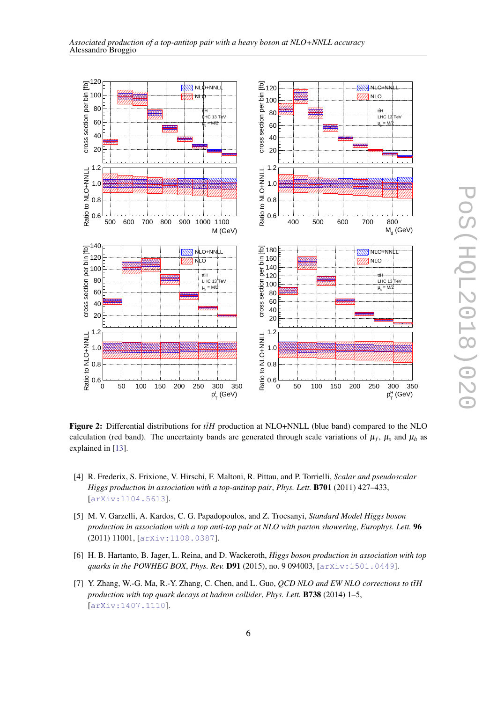<span id="page-6-0"></span>



Figure 2: Differential distributions for *tH* production at NLO+NNLL (blue band) compared to the NLO calculation (red band). The uncertainty bands are generated through scale variations of  $\mu_f$ ,  $\mu_s$  and  $\mu_h$  as explained in [[13\]](#page-8-0).

- [4] R. Frederix, S. Frixione, V. Hirschi, F. Maltoni, R. Pittau, and P. Torrielli, *Scalar and pseudoscalar Higgs production in association with a top-antitop pair*, *Phys. Lett.* B701 (2011) 427–433, [[arXiv:1104.5613](http://arxiv.org/abs/1104.5613)].
- [5] M. V. Garzelli, A. Kardos, C. G. Papadopoulos, and Z. Trocsanyi, *Standard Model Higgs boson production in association with a top anti-top pair at NLO with parton showering*, *Europhys. Lett.* 96 (2011) 11001, [[arXiv:1108.0387](http://arxiv.org/abs/1108.0387)].
- [6] H. B. Hartanto, B. Jager, L. Reina, and D. Wackeroth, *Higgs boson production in association with top quarks in the POWHEG BOX*, *Phys. Rev.* D91 (2015), no. 9 094003, [[arXiv:1501.0449](http://arxiv.org/abs/1501.0449)].
- [7] Y. Zhang, W.-G. Ma, R.-Y. Zhang, C. Chen, and L. Guo, *QCD NLO and EW NLO corrections to tfH production with top quark decays at hadron collider*, *Phys. Lett.* B738 (2014) 1–5, [[arXiv:1407.1110](http://arxiv.org/abs/1407.1110)].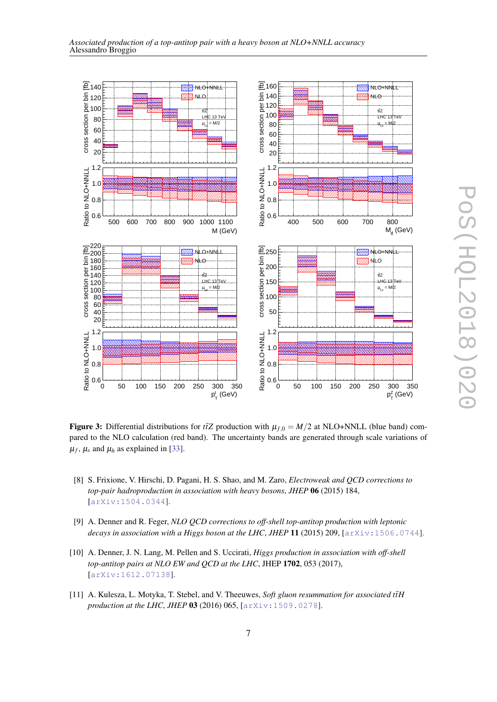<span id="page-7-0"></span>



Figure 3: Differential distributions for  $t\bar{t}Z$  production with  $\mu_{f,0} = M/2$  at NLO+NNLL (blue band) compared to the NLO calculation (red band). The uncertainty bands are generated through scale variations of  $\mu_f$ ,  $\mu_s$  and  $\mu_h$  as explained in [[33\]](#page-9-0).

- [8] S. Frixione, V. Hirschi, D. Pagani, H. S. Shao, and M. Zaro, *Electroweak and QCD corrections to top-pair hadroproduction in association with heavy bosons*, *JHEP* 06 (2015) 184, [[arXiv:1504.0344](http://arxiv.org/abs/1504.0344)].
- [9] A. Denner and R. Feger, *NLO QCD corrections to off-shell top-antitop production with leptonic decays in association with a Higgs boson at the LHC*, *JHEP* 11 (2015) 209, [[arXiv:1506.0744](http://arxiv.org/abs/1506.0744)].
- [10] A. Denner, J. N. Lang, M. Pellen and S. Uccirati, *Higgs production in association with off-shell top-antitop pairs at NLO EW and QCD at the LHC*, JHEP 1702, 053 (2017), [[arXiv:1612.07138](http://arxiv.org/abs/1612.07138)].
- [11] A. Kulesza, L. Motyka, T. Stebel, and V. Theeuwes, *Soft gluon resummation for associated ttH production at the LHC*, *JHEP* 03 (2016) 065, [[arXiv:1509.0278](http://arxiv.org/abs/1509.0278)].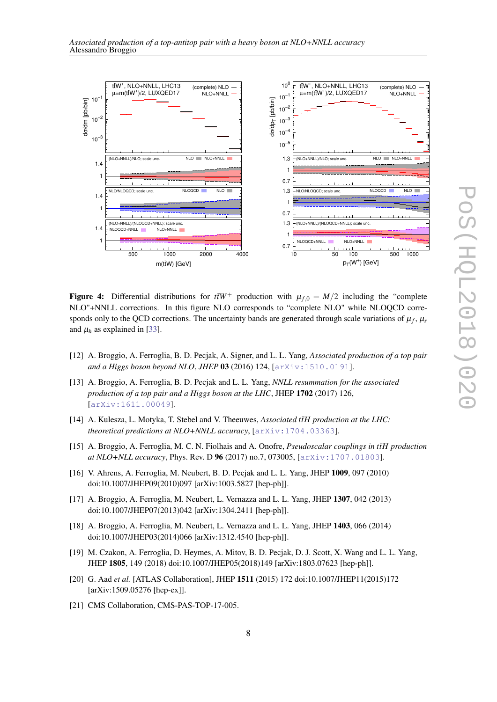<span id="page-8-0"></span>



Figure 4: Differential distributions for  $t\bar{t}W^+$  production with  $\mu_{f,0} = M/2$  including the "complete" NLO"+NNLL corrections. In this figure NLO corresponds to "complete NLO" while NLOQCD corresponds only to the QCD corrections. The uncertainty bands are generated through scale variations of  $\mu_f$ ,  $\mu_s$ and  $\mu_h$  as explained in [\[33](#page-9-0)].

- [12] A. Broggio, A. Ferroglia, B. D. Pecjak, A. Signer, and L. L. Yang, *Associated production of a top pair and a Higgs boson beyond NLO*, *JHEP* 03 (2016) 124, [[arXiv:1510.0191](http://arxiv.org/abs/1510.0191)].
- [13] A. Broggio, A. Ferroglia, B. D. Pecjak and L. L. Yang, *NNLL resummation for the associated production of a top pair and a Higgs boson at the LHC*, JHEP 1702 (2017) 126, [[arXiv:1611.00049](http://arxiv.org/abs/1611.00049)].
- [14] A. Kulesza, L. Motyka, T. Stebel and V. Theeuwes, *Associated tiH production at the LHC*: *theoretical predictions at NLO+NNLL accuracy*, [[arXiv:1704.03363](http://arxiv.org/abs/1704.03363)].
- [15] A. Broggio, A. Ferroglia, M. C. N. Fiolhais and A. Onofre, *Pseudoscalar couplings in ttH production* ¯ *at NLO+NLL accuracy*, Phys. Rev. D 96 (2017) no.7, 073005, [[arXiv:1707.01803](http://arxiv.org/abs/1707.01803)].
- [16] V. Ahrens, A. Ferroglia, M. Neubert, B. D. Pecjak and L. L. Yang, JHEP 1009, 097 (2010) doi:10.1007/JHEP09(2010)097 [arXiv:1003.5827 [hep-ph]].
- [17] A. Broggio, A. Ferroglia, M. Neubert, L. Vernazza and L. L. Yang, JHEP 1307, 042 (2013) doi:10.1007/JHEP07(2013)042 [arXiv:1304.2411 [hep-ph]].
- [18] A. Broggio, A. Ferroglia, M. Neubert, L. Vernazza and L. L. Yang, JHEP 1403, 066 (2014) doi:10.1007/JHEP03(2014)066 [arXiv:1312.4540 [hep-ph]].
- [19] M. Czakon, A. Ferroglia, D. Heymes, A. Mitov, B. D. Pecjak, D. J. Scott, X. Wang and L. L. Yang, JHEP 1805, 149 (2018) doi:10.1007/JHEP05(2018)149 [arXiv:1803.07623 [hep-ph]].
- [20] G. Aad et al. [ATLAS Collaboration], JHEP 1511 (2015) 172 doi:10.1007/JHEP11(2015)172 [arXiv:1509.05276 [hep-ex]].
- [21] CMS Collaboration, CMS-PAS-TOP-17-005.